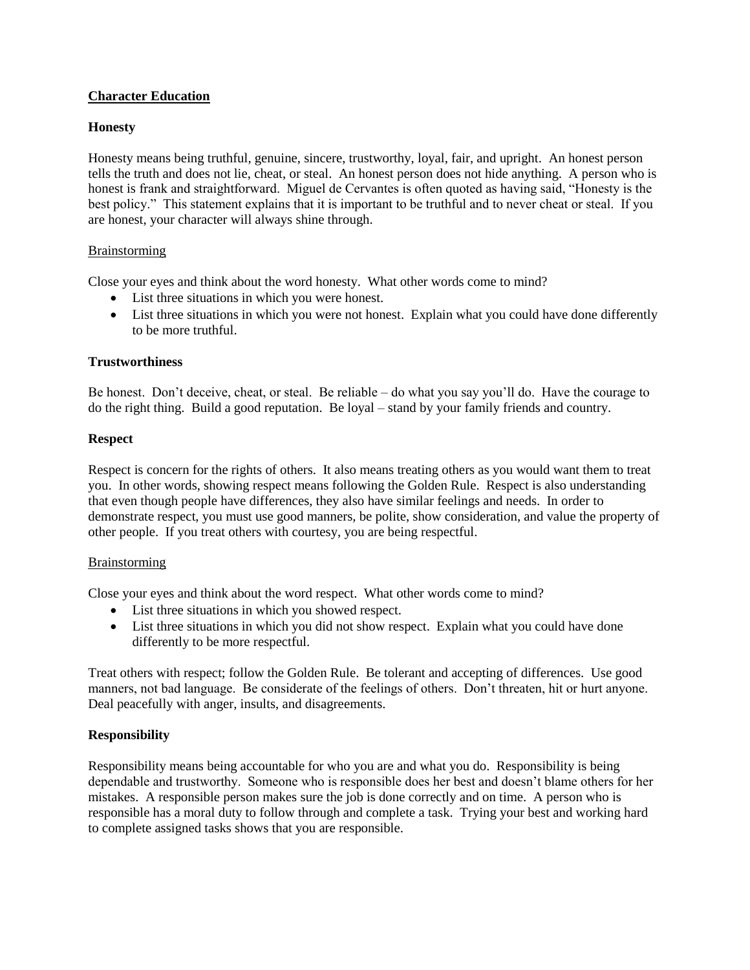# **Character Education**

### **Honesty**

Honesty means being truthful, genuine, sincere, trustworthy, loyal, fair, and upright. An honest person tells the truth and does not lie, cheat, or steal. An honest person does not hide anything. A person who is honest is frank and straightforward. Miguel de Cervantes is often quoted as having said, "Honesty is the best policy." This statement explains that it is important to be truthful and to never cheat or steal. If you are honest, your character will always shine through.

### Brainstorming

Close your eyes and think about the word honesty. What other words come to mind?

- List three situations in which you were honest.
- List three situations in which you were not honest. Explain what you could have done differently to be more truthful.

### **Trustworthiness**

Be honest. Don't deceive, cheat, or steal. Be reliable – do what you say you'll do. Have the courage to do the right thing. Build a good reputation. Be loyal – stand by your family friends and country.

# **Respect**

Respect is concern for the rights of others. It also means treating others as you would want them to treat you. In other words, showing respect means following the Golden Rule. Respect is also understanding that even though people have differences, they also have similar feelings and needs. In order to demonstrate respect, you must use good manners, be polite, show consideration, and value the property of other people. If you treat others with courtesy, you are being respectful.

### Brainstorming

Close your eyes and think about the word respect. What other words come to mind?

- List three situations in which you showed respect.
- List three situations in which you did not show respect. Explain what you could have done differently to be more respectful.

Treat others with respect; follow the Golden Rule. Be tolerant and accepting of differences. Use good manners, not bad language. Be considerate of the feelings of others. Don't threaten, hit or hurt anyone. Deal peacefully with anger, insults, and disagreements.

# **Responsibility**

Responsibility means being accountable for who you are and what you do. Responsibility is being dependable and trustworthy. Someone who is responsible does her best and doesn't blame others for her mistakes. A responsible person makes sure the job is done correctly and on time. A person who is responsible has a moral duty to follow through and complete a task. Trying your best and working hard to complete assigned tasks shows that you are responsible.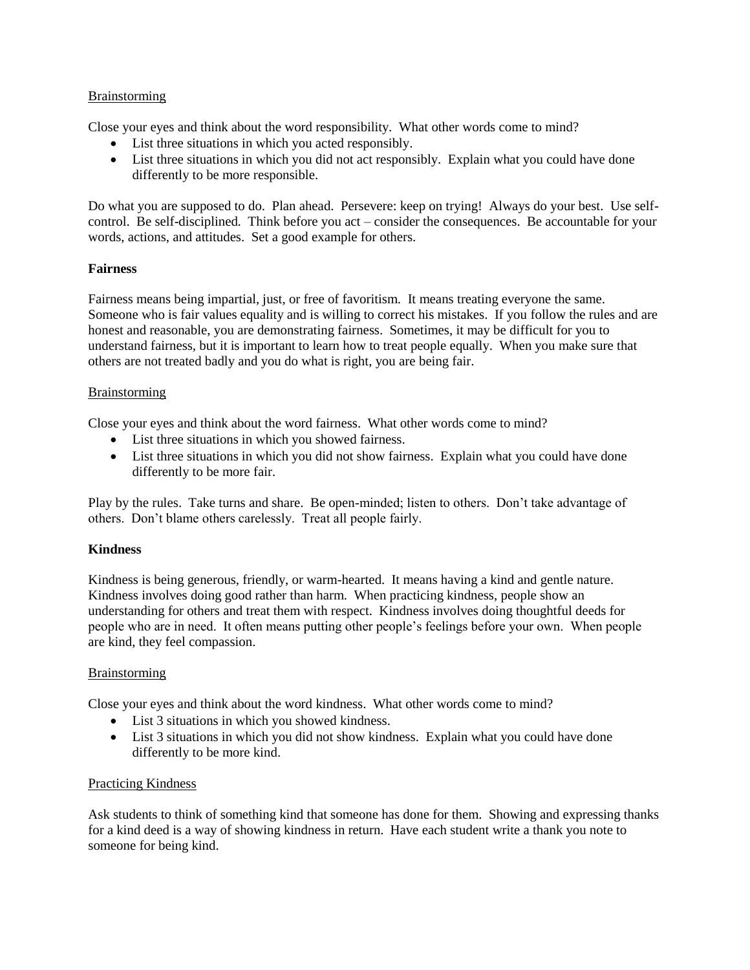### Brainstorming

Close your eyes and think about the word responsibility. What other words come to mind?

- List three situations in which you acted responsibly.
- List three situations in which you did not act responsibly. Explain what you could have done differently to be more responsible.

Do what you are supposed to do. Plan ahead. Persevere: keep on trying! Always do your best. Use selfcontrol. Be self-disciplined. Think before you act – consider the consequences. Be accountable for your words, actions, and attitudes. Set a good example for others.

### **Fairness**

Fairness means being impartial, just, or free of favoritism. It means treating everyone the same. Someone who is fair values equality and is willing to correct his mistakes. If you follow the rules and are honest and reasonable, you are demonstrating fairness. Sometimes, it may be difficult for you to understand fairness, but it is important to learn how to treat people equally. When you make sure that others are not treated badly and you do what is right, you are being fair.

### Brainstorming

Close your eyes and think about the word fairness. What other words come to mind?

- List three situations in which you showed fairness.
- List three situations in which you did not show fairness. Explain what you could have done differently to be more fair.

Play by the rules. Take turns and share. Be open-minded; listen to others. Don't take advantage of others. Don't blame others carelessly. Treat all people fairly.

### **Kindness**

Kindness is being generous, friendly, or warm-hearted. It means having a kind and gentle nature. Kindness involves doing good rather than harm. When practicing kindness, people show an understanding for others and treat them with respect. Kindness involves doing thoughtful deeds for people who are in need. It often means putting other people's feelings before your own. When people are kind, they feel compassion.

### Brainstorming

Close your eyes and think about the word kindness. What other words come to mind?

- List 3 situations in which you showed kindness.
- List 3 situations in which you did not show kindness. Explain what you could have done differently to be more kind.

#### Practicing Kindness

Ask students to think of something kind that someone has done for them. Showing and expressing thanks for a kind deed is a way of showing kindness in return. Have each student write a thank you note to someone for being kind.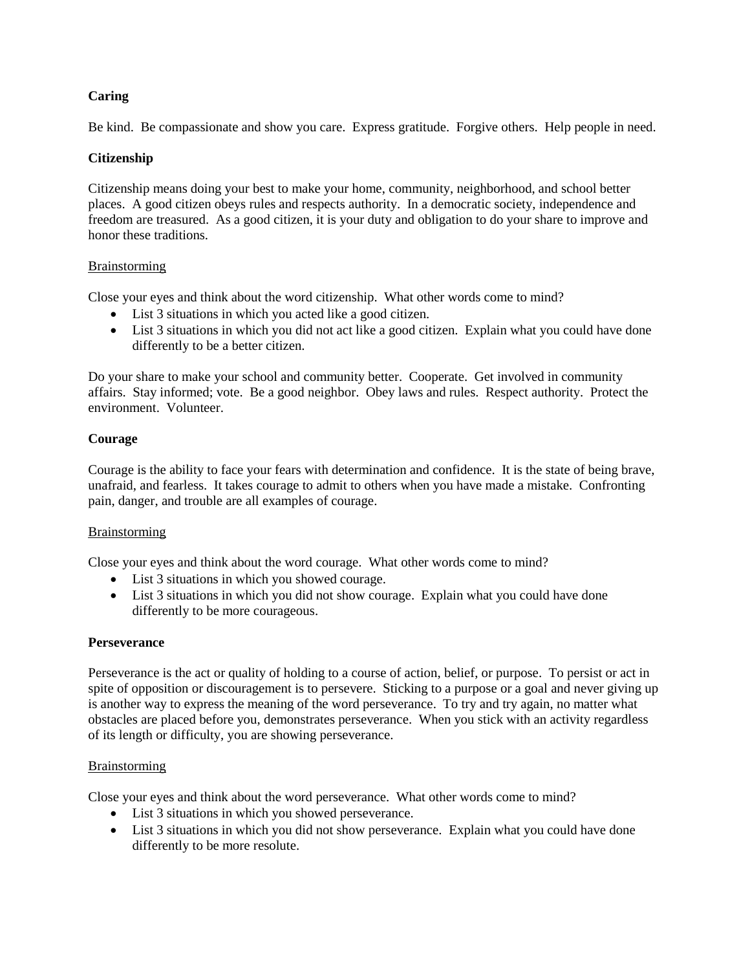# **Caring**

Be kind. Be compassionate and show you care. Express gratitude. Forgive others. Help people in need.

## **Citizenship**

Citizenship means doing your best to make your home, community, neighborhood, and school better places. A good citizen obeys rules and respects authority. In a democratic society, independence and freedom are treasured. As a good citizen, it is your duty and obligation to do your share to improve and honor these traditions.

### Brainstorming

Close your eyes and think about the word citizenship. What other words come to mind?

- List 3 situations in which you acted like a good citizen.
- List 3 situations in which you did not act like a good citizen. Explain what you could have done differently to be a better citizen.

Do your share to make your school and community better. Cooperate. Get involved in community affairs. Stay informed; vote. Be a good neighbor. Obey laws and rules. Respect authority. Protect the environment. Volunteer.

### **Courage**

Courage is the ability to face your fears with determination and confidence. It is the state of being brave, unafraid, and fearless. It takes courage to admit to others when you have made a mistake. Confronting pain, danger, and trouble are all examples of courage.

### **Brainstorming**

Close your eyes and think about the word courage. What other words come to mind?

- List 3 situations in which you showed courage.
- List 3 situations in which you did not show courage. Explain what you could have done differently to be more courageous.

#### **Perseverance**

Perseverance is the act or quality of holding to a course of action, belief, or purpose. To persist or act in spite of opposition or discouragement is to persevere. Sticking to a purpose or a goal and never giving up is another way to express the meaning of the word perseverance. To try and try again, no matter what obstacles are placed before you, demonstrates perseverance. When you stick with an activity regardless of its length or difficulty, you are showing perseverance.

### Brainstorming

Close your eyes and think about the word perseverance. What other words come to mind?

- List 3 situations in which you showed perseverance.
- List 3 situations in which you did not show perseverance. Explain what you could have done differently to be more resolute.